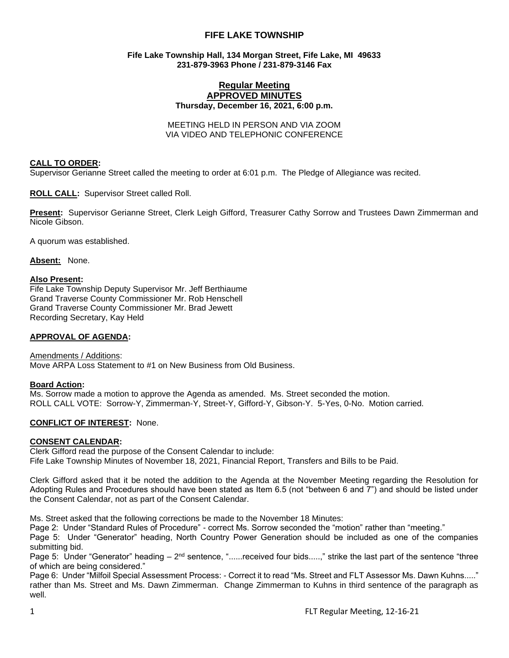# **FIFE LAKE TOWNSHIP**

### **Fife Lake Township Hall, 134 Morgan Street, Fife Lake, MI 49633 231-879-3963 Phone / 231-879-3146 Fax**

### **Regular Meeting APPROVED MINUTES Thursday, December 16, 2021, 6:00 p.m.**

MEETING HELD IN PERSON AND VIA ZOOM VIA VIDEO AND TELEPHONIC CONFERENCE

### **CALL TO ORDER:**

Supervisor Gerianne Street called the meeting to order at 6:01 p.m. The Pledge of Allegiance was recited.

**ROLL CALL:** Supervisor Street called Roll.

**Present:** Supervisor Gerianne Street, Clerk Leigh Gifford, Treasurer Cathy Sorrow and Trustees Dawn Zimmerman and Nicole Gibson.

A quorum was established.

**Absent:** None.

### **Also Present:**

Fife Lake Township Deputy Supervisor Mr. Jeff Berthiaume Grand Traverse County Commissioner Mr. Rob Henschell Grand Traverse County Commissioner Mr. Brad Jewett Recording Secretary, Kay Held

### **APPROVAL OF AGENDA:**

Amendments / Additions: Move ARPA Loss Statement to #1 on New Business from Old Business.

### **Board Action:**

Ms. Sorrow made a motion to approve the Agenda as amended. Ms. Street seconded the motion. ROLL CALL VOTE: Sorrow-Y, Zimmerman-Y, Street-Y, Gifford-Y, Gibson-Y. 5-Yes, 0-No. Motion carried.

### **CONFLICT OF INTEREST:** None.

### **CONSENT CALENDAR:**

Clerk Gifford read the purpose of the Consent Calendar to include: Fife Lake Township Minutes of November 18, 2021, Financial Report, Transfers and Bills to be Paid.

Clerk Gifford asked that it be noted the addition to the Agenda at the November Meeting regarding the Resolution for Adopting Rules and Procedures should have been stated as Item 6.5 (not "between 6 and 7") and should be listed under the Consent Calendar, not as part of the Consent Calendar.

Ms. Street asked that the following corrections be made to the November 18 Minutes:

Page 2: Under "Standard Rules of Procedure" - correct Ms. Sorrow seconded the "motion" rather than "meeting."

Page 5: Under "Generator" heading, North Country Power Generation should be included as one of the companies submitting bid.

Page 5: Under "Generator" heading – 2<sup>nd</sup> sentence, "......received four bids.....," strike the last part of the sentence "three of which are being considered."

Page 6: Under "Milfoil Special Assessment Process: - Correct it to read "Ms. Street and FLT Assessor Ms. Dawn Kuhns....." rather than Ms. Street and Ms. Dawn Zimmerman. Change Zimmerman to Kuhns in third sentence of the paragraph as well.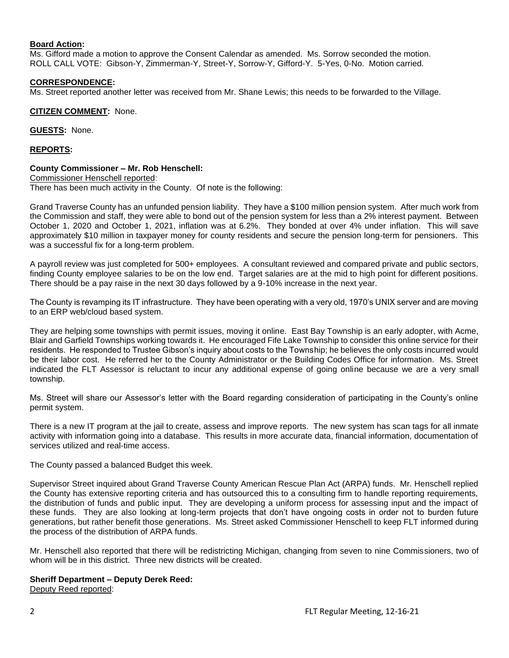### **Board Action:**

Ms. Gifford made a motion to approve the Consent Calendar as amended. Ms. Sorrow seconded the motion. ROLL CALL VOTE: Gibson-Y, Zimmerman-Y, Street-Y, Sorrow-Y, Gifford-Y. 5-Yes, 0-No. Motion carried.

# **CORRESPONDENCE:**

Ms. Street reported another letter was received from Mr. Shane Lewis; this needs to be forwarded to the Village.

**CITIZEN COMMENT:** None.

**GUESTS:** None.

**REPORTS:**

### **County Commissioner – Mr. Rob Henschell:**

Commissioner Henschell reported: There has been much activity in the County. Of note is the following:

Grand Traverse County has an unfunded pension liability. They have a \$100 million pension system. After much work from the Commission and staff, they were able to bond out of the pension system for less than a 2% interest payment. Between October 1, 2020 and October 1, 2021, inflation was at 6.2%. They bonded at over 4% under inflation. This will save approximately \$10 million in taxpayer money for county residents and secure the pension long-term for pensioners. This was a successful fix for a long-term problem.

A payroll review was just completed for 500+ employees. A consultant reviewed and compared private and public sectors, finding County employee salaries to be on the low end. Target salaries are at the mid to high point for different positions. There should be a pay raise in the next 30 days followed by a 9-10% increase in the next year.

The County is revamping its IT infrastructure. They have been operating with a very old, 1970's UNIX server and are moving to an ERP web/cloud based system.

They are helping some townships with permit issues, moving it online. East Bay Township is an early adopter, with Acme, Blair and Garfield Townships working towards it. He encouraged Fife Lake Township to consider this online service for their residents. He responded to Trustee Gibson's inquiry about costs to the Township; he believes the only costs incurred would be their labor cost. He referred her to the County Administrator or the Building Codes Office for information. Ms. Street indicated the FLT Assessor is reluctant to incur any additional expense of going online because we are a very small township.

Ms. Street will share our Assessor's letter with the Board regarding consideration of participating in the County's online permit system.

There is a new IT program at the jail to create, assess and improve reports. The new system has scan tags for all inmate activity with information going into a database. This results in more accurate data, financial information, documentation of services utilized and real-time access.

The County passed a balanced Budget this week.

Supervisor Street inquired about Grand Traverse County American Rescue Plan Act (ARPA) funds. Mr. Henschell replied the County has extensive reporting criteria and has outsourced this to a consulting firm to handle reporting requirements, the distribution of funds and public input. They are developing a uniform process for assessing input and the impact of these funds. They are also looking at long-term projects that don't have ongoing costs in order not to burden future generations, but rather benefit those generations. Ms. Street asked Commissioner Henschell to keep FLT informed during the process of the distribution of ARPA funds.

Mr. Henschell also reported that there will be redistricting Michigan, changing from seven to nine Commissioners, two of whom will be in this district. Three new districts will be created.

### **Sheriff Department – Deputy Derek Reed:**

Deputy Reed reported: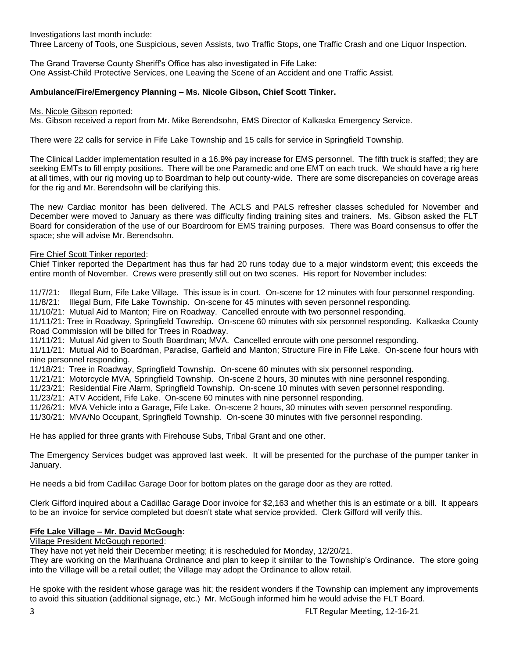Investigations last month include:

Three Larceny of Tools, one Suspicious, seven Assists, two Traffic Stops, one Traffic Crash and one Liquor Inspection.

The Grand Traverse County Sheriff's Office has also investigated in Fife Lake: One Assist-Child Protective Services, one Leaving the Scene of an Accident and one Traffic Assist.

# **Ambulance/Fire/Emergency Planning – Ms. Nicole Gibson, Chief Scott Tinker.**

Ms. Nicole Gibson reported:

Ms. Gibson received a report from Mr. Mike Berendsohn, EMS Director of Kalkaska Emergency Service.

There were 22 calls for service in Fife Lake Township and 15 calls for service in Springfield Township.

The Clinical Ladder implementation resulted in a 16.9% pay increase for EMS personnel. The fifth truck is staffed; they are seeking EMTs to fill empty positions. There will be one Paramedic and one EMT on each truck. We should have a rig here at all times, with our rig moving up to Boardman to help out county-wide. There are some discrepancies on coverage areas for the rig and Mr. Berendsohn will be clarifying this.

The new Cardiac monitor has been delivered. The ACLS and PALS refresher classes scheduled for November and December were moved to January as there was difficulty finding training sites and trainers. Ms. Gibson asked the FLT Board for consideration of the use of our Boardroom for EMS training purposes. There was Board consensus to offer the space; she will advise Mr. Berendsohn.

# Fire Chief Scott Tinker reported:

Chief Tinker reported the Department has thus far had 20 runs today due to a major windstorm event; this exceeds the entire month of November. Crews were presently still out on two scenes. His report for November includes:

11/7/21: Illegal Burn, Fife Lake Village. This issue is in court. On-scene for 12 minutes with four personnel responding.

11/8/21: Illegal Burn, Fife Lake Township. On-scene for 45 minutes with seven personnel responding.

11/10/21: Mutual Aid to Manton; Fire on Roadway. Cancelled enroute with two personnel responding.

11/11/21: Tree in Roadway, Springfield Township. On-scene 60 minutes with six personnel responding. Kalkaska County Road Commission will be billed for Trees in Roadway.

11/11/21: Mutual Aid given to South Boardman; MVA. Cancelled enroute with one personnel responding.

11/11/21: Mutual Aid to Boardman, Paradise, Garfield and Manton; Structure Fire in Fife Lake. On-scene four hours with nine personnel responding.

11/18/21: Tree in Roadway, Springfield Township. On-scene 60 minutes with six personnel responding.

11/21/21: Motorcycle MVA, Springfield Township. On-scene 2 hours, 30 minutes with nine personnel responding.

11/23/21: Residential Fire Alarm, Springfield Township. On-scene 10 minutes with seven personnel responding.

11/23/21: ATV Accident, Fife Lake. On-scene 60 minutes with nine personnel responding.

11/26/21: MVA Vehicle into a Garage, Fife Lake. On-scene 2 hours, 30 minutes with seven personnel responding.

11/30/21: MVA/No Occupant, Springfield Township. On-scene 30 minutes with five personnel responding.

He has applied for three grants with Firehouse Subs, Tribal Grant and one other.

The Emergency Services budget was approved last week. It will be presented for the purchase of the pumper tanker in January.

He needs a bid from Cadillac Garage Door for bottom plates on the garage door as they are rotted.

Clerk Gifford inquired about a Cadillac Garage Door invoice for \$2,163 and whether this is an estimate or a bill. It appears to be an invoice for service completed but doesn't state what service provided. Clerk Gifford will verify this.

# **Fife Lake Village – Mr. David McGough:**

Village President McGough reported:

They have not yet held their December meeting; it is rescheduled for Monday, 12/20/21.

They are working on the Marihuana Ordinance and plan to keep it similar to the Township's Ordinance. The store going into the Village will be a retail outlet; the Village may adopt the Ordinance to allow retail.

He spoke with the resident whose garage was hit; the resident wonders if the Township can implement any improvements to avoid this situation (additional signage, etc.) Mr. McGough informed him he would advise the FLT Board.

3 FLT Regular Meeting, 12-16-21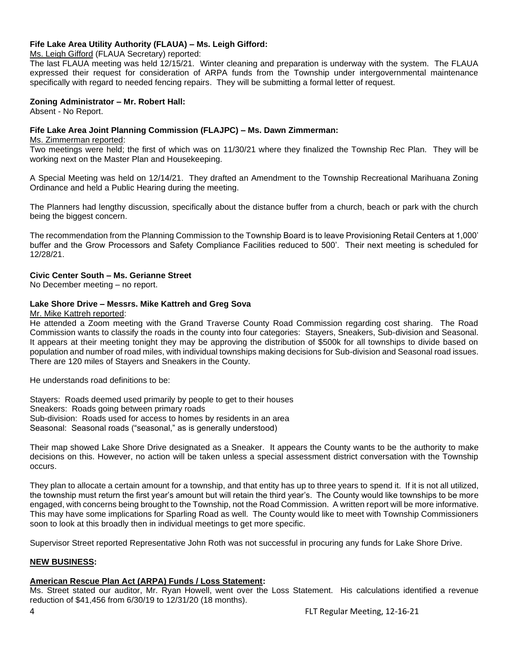# **Fife Lake Area Utility Authority (FLAUA) – Ms. Leigh Gifford:**

Ms. Leigh Gifford (FLAUA Secretary) reported:

The last FLAUA meeting was held 12/15/21. Winter cleaning and preparation is underway with the system. The FLAUA expressed their request for consideration of ARPA funds from the Township under intergovernmental maintenance specifically with regard to needed fencing repairs. They will be submitting a formal letter of request.

# **Zoning Administrator – Mr. Robert Hall:**

Absent - No Report.

# **Fife Lake Area Joint Planning Commission (FLAJPC) – Ms. Dawn Zimmerman:**

Ms. Zimmerman reported:

Two meetings were held; the first of which was on 11/30/21 where they finalized the Township Rec Plan. They will be working next on the Master Plan and Housekeeping.

A Special Meeting was held on 12/14/21. They drafted an Amendment to the Township Recreational Marihuana Zoning Ordinance and held a Public Hearing during the meeting.

The Planners had lengthy discussion, specifically about the distance buffer from a church, beach or park with the church being the biggest concern.

The recommendation from the Planning Commission to the Township Board is to leave Provisioning Retail Centers at 1,000' buffer and the Grow Processors and Safety Compliance Facilities reduced to 500'. Their next meeting is scheduled for 12/28/21.

# **Civic Center South – Ms. Gerianne Street**

No December meeting – no report.

# **Lake Shore Drive – Messrs. Mike Kattreh and Greg Sova**

#### Mr. Mike Kattreh reported:

He attended a Zoom meeting with the Grand Traverse County Road Commission regarding cost sharing. The Road Commission wants to classify the roads in the county into four categories: Stayers, Sneakers, Sub-division and Seasonal. It appears at their meeting tonight they may be approving the distribution of \$500k for all townships to divide based on population and number of road miles, with individual townships making decisions for Sub-division and Seasonal road issues. There are 120 miles of Stayers and Sneakers in the County.

He understands road definitions to be:

Stayers: Roads deemed used primarily by people to get to their houses Sneakers: Roads going between primary roads Sub-division: Roads used for access to homes by residents in an area Seasonal: Seasonal roads ("seasonal," as is generally understood)

Their map showed Lake Shore Drive designated as a Sneaker. It appears the County wants to be the authority to make decisions on this. However, no action will be taken unless a special assessment district conversation with the Township occurs.

They plan to allocate a certain amount for a township, and that entity has up to three years to spend it. If it is not all utilized, the township must return the first year's amount but will retain the third year's. The County would like townships to be more engaged, with concerns being brought to the Township, not the Road Commission. A written report will be more informative. This may have some implications for Sparling Road as well. The County would like to meet with Township Commissioners soon to look at this broadly then in individual meetings to get more specific.

Supervisor Street reported Representative John Roth was not successful in procuring any funds for Lake Shore Drive.

### **NEW BUSINESS:**

# **American Rescue Plan Act (ARPA) Funds / Loss Statement:**

Ms. Street stated our auditor, Mr. Ryan Howell, went over the Loss Statement. His calculations identified a revenue reduction of \$41,456 from 6/30/19 to 12/31/20 (18 months).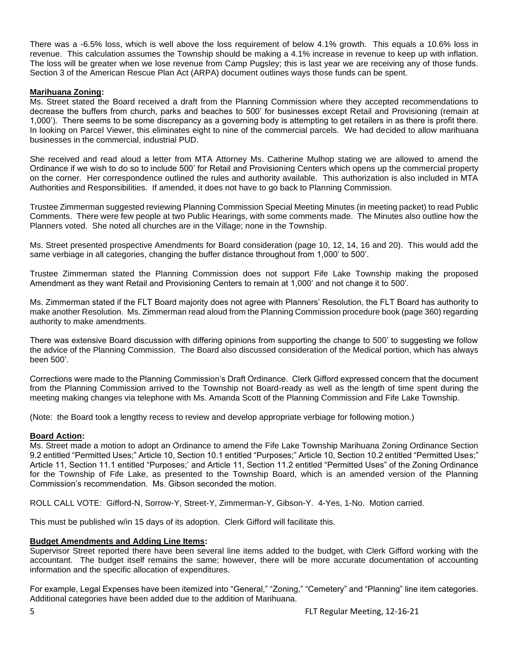There was a -6.5% loss, which is well above the loss requirement of below 4.1% growth. This equals a 10.6% loss in revenue. This calculation assumes the Township should be making a 4.1% increase in revenue to keep up with inflation. The loss will be greater when we lose revenue from Camp Pugsley; this is last year we are receiving any of those funds. Section 3 of the American Rescue Plan Act (ARPA) document outlines ways those funds can be spent.

# **Marihuana Zoning:**

Ms. Street stated the Board received a draft from the Planning Commission where they accepted recommendations to decrease the buffers from church, parks and beaches to 500' for businesses except Retail and Provisioning (remain at 1,000'). There seems to be some discrepancy as a governing body is attempting to get retailers in as there is profit there. In looking on Parcel Viewer, this eliminates eight to nine of the commercial parcels. We had decided to allow marihuana businesses in the commercial, industrial PUD.

She received and read aloud a letter from MTA Attorney Ms. Catherine Mulhop stating we are allowed to amend the Ordinance if we wish to do so to include 500' for Retail and Provisioning Centers which opens up the commercial property on the corner. Her correspondence outlined the rules and authority available. This authorization is also included in MTA Authorities and Responsibilities. If amended, it does not have to go back to Planning Commission.

Trustee Zimmerman suggested reviewing Planning Commission Special Meeting Minutes (in meeting packet) to read Public Comments. There were few people at two Public Hearings, with some comments made. The Minutes also outline how the Planners voted. She noted all churches are in the Village; none in the Township.

Ms. Street presented prospective Amendments for Board consideration (page 10, 12, 14, 16 and 20). This would add the same verbiage in all categories, changing the buffer distance throughout from 1,000' to 500'.

Trustee Zimmerman stated the Planning Commission does not support Fife Lake Township making the proposed Amendment as they want Retail and Provisioning Centers to remain at 1,000' and not change it to 500'.

Ms. Zimmerman stated if the FLT Board majority does not agree with Planners' Resolution, the FLT Board has authority to make another Resolution. Ms. Zimmerman read aloud from the Planning Commission procedure book (page 360) regarding authority to make amendments.

There was extensive Board discussion with differing opinions from supporting the change to 500' to suggesting we follow the advice of the Planning Commission. The Board also discussed consideration of the Medical portion, which has always been 500'.

Corrections were made to the Planning Commission's Draft Ordinance. Clerk Gifford expressed concern that the document from the Planning Commission arrived to the Township not Board-ready as well as the length of time spent during the meeting making changes via telephone with Ms. Amanda Scott of the Planning Commission and Fife Lake Township.

(Note: the Board took a lengthy recess to review and develop appropriate verbiage for following motion.)

# **Board Action:**

Ms. Street made a motion to adopt an Ordinance to amend the Fife Lake Township Marihuana Zoning Ordinance Section 9.2 entitled "Permitted Uses;" Article 10, Section 10.1 entitled "Purposes;" Article 10, Section 10.2 entitled "Permitted Uses;" Article 11, Section 11.1 entitled "Purposes;' and Article 11, Section 11.2 entitled "Permitted Uses" of the Zoning Ordinance for the Township of Fife Lake, as presented to the Township Board, which is an amended version of the Planning Commission's recommendation. Ms. Gibson seconded the motion.

ROLL CALL VOTE: Gifford-N, Sorrow-Y, Street-Y, Zimmerman-Y, Gibson-Y. 4-Yes, 1-No. Motion carried.

This must be published w/in 15 days of its adoption. Clerk Gifford will facilitate this.

# **Budget Amendments and Adding Line Items:**

Supervisor Street reported there have been several line items added to the budget, with Clerk Gifford working with the accountant. The budget itself remains the same; however, there will be more accurate documentation of accounting information and the specific allocation of expenditures.

For example, Legal Expenses have been itemized into "General," "Zoning," "Cemetery" and "Planning" line item categories. Additional categories have been added due to the addition of Marihuana.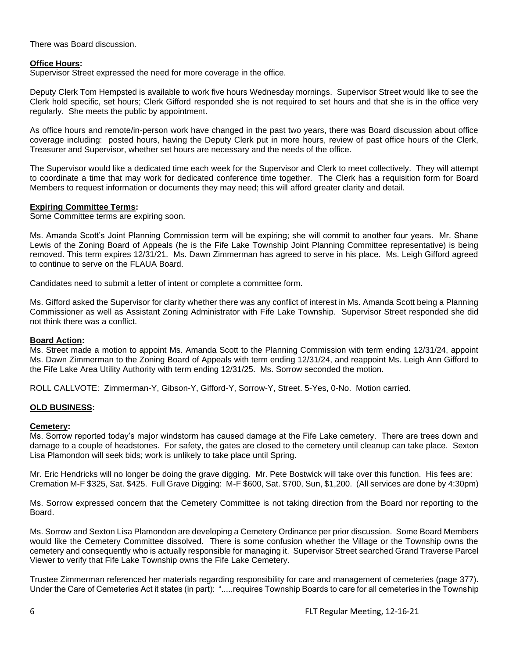There was Board discussion.

# **Office Hours:**

Supervisor Street expressed the need for more coverage in the office.

Deputy Clerk Tom Hempsted is available to work five hours Wednesday mornings. Supervisor Street would like to see the Clerk hold specific, set hours; Clerk Gifford responded she is not required to set hours and that she is in the office very regularly. She meets the public by appointment.

As office hours and remote/in-person work have changed in the past two years, there was Board discussion about office coverage including: posted hours, having the Deputy Clerk put in more hours, review of past office hours of the Clerk, Treasurer and Supervisor, whether set hours are necessary and the needs of the office.

The Supervisor would like a dedicated time each week for the Supervisor and Clerk to meet collectively. They will attempt to coordinate a time that may work for dedicated conference time together. The Clerk has a requisition form for Board Members to request information or documents they may need; this will afford greater clarity and detail.

### **Expiring Committee Terms:**

Some Committee terms are expiring soon.

Ms. Amanda Scott's Joint Planning Commission term will be expiring; she will commit to another four years. Mr. Shane Lewis of the Zoning Board of Appeals (he is the Fife Lake Township Joint Planning Committee representative) is being removed. This term expires 12/31/21. Ms. Dawn Zimmerman has agreed to serve in his place. Ms. Leigh Gifford agreed to continue to serve on the FLAUA Board.

Candidates need to submit a letter of intent or complete a committee form.

Ms. Gifford asked the Supervisor for clarity whether there was any conflict of interest in Ms. Amanda Scott being a Planning Commissioner as well as Assistant Zoning Administrator with Fife Lake Township. Supervisor Street responded she did not think there was a conflict.

### **Board Action:**

Ms. Street made a motion to appoint Ms. Amanda Scott to the Planning Commission with term ending 12/31/24, appoint Ms. Dawn Zimmerman to the Zoning Board of Appeals with term ending 12/31/24, and reappoint Ms. Leigh Ann Gifford to the Fife Lake Area Utility Authority with term ending 12/31/25. Ms. Sorrow seconded the motion.

ROLL CALLVOTE: Zimmerman-Y, Gibson-Y, Gifford-Y, Sorrow-Y, Street. 5-Yes, 0-No. Motion carried.

### **OLD BUSINESS:**

#### **Cemetery:**

Ms. Sorrow reported today's major windstorm has caused damage at the Fife Lake cemetery. There are trees down and damage to a couple of headstones. For safety, the gates are closed to the cemetery until cleanup can take place. Sexton Lisa Plamondon will seek bids; work is unlikely to take place until Spring.

Mr. Eric Hendricks will no longer be doing the grave digging. Mr. Pete Bostwick will take over this function. His fees are: Cremation M-F \$325, Sat. \$425. Full Grave Digging: M-F \$600, Sat. \$700, Sun, \$1,200. (All services are done by 4:30pm)

Ms. Sorrow expressed concern that the Cemetery Committee is not taking direction from the Board nor reporting to the Board.

Ms. Sorrow and Sexton Lisa Plamondon are developing a Cemetery Ordinance per prior discussion. Some Board Members would like the Cemetery Committee dissolved. There is some confusion whether the Village or the Township owns the cemetery and consequently who is actually responsible for managing it. Supervisor Street searched Grand Traverse Parcel Viewer to verify that Fife Lake Township owns the Fife Lake Cemetery.

Trustee Zimmerman referenced her materials regarding responsibility for care and management of cemeteries (page 377). Under the Care of Cemeteries Act it states (in part): ".....requires Township Boards to care for all cemeteries in the Township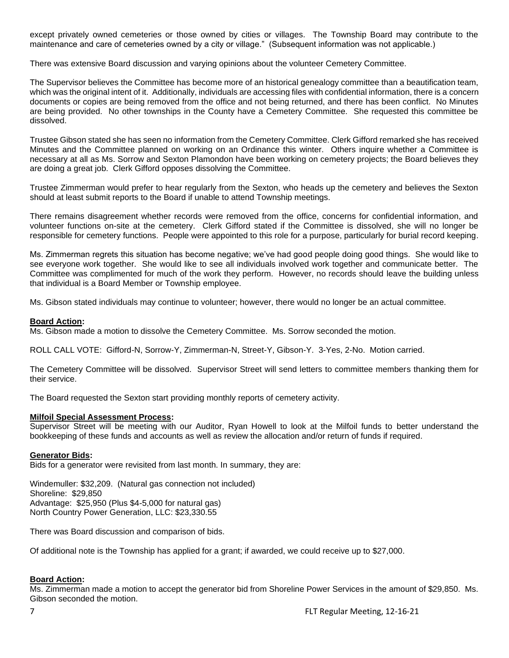except privately owned cemeteries or those owned by cities or villages. The Township Board may contribute to the maintenance and care of cemeteries owned by a city or village." (Subsequent information was not applicable.)

There was extensive Board discussion and varying opinions about the volunteer Cemetery Committee.

The Supervisor believes the Committee has become more of an historical genealogy committee than a beautification team, which was the original intent of it. Additionally, individuals are accessing files with confidential information, there is a concern documents or copies are being removed from the office and not being returned, and there has been conflict. No Minutes are being provided. No other townships in the County have a Cemetery Committee. She requested this committee be dissolved.

Trustee Gibson stated she has seen no information from the Cemetery Committee. Clerk Gifford remarked she has received Minutes and the Committee planned on working on an Ordinance this winter. Others inquire whether a Committee is necessary at all as Ms. Sorrow and Sexton Plamondon have been working on cemetery projects; the Board believes they are doing a great job. Clerk Gifford opposes dissolving the Committee.

Trustee Zimmerman would prefer to hear regularly from the Sexton, who heads up the cemetery and believes the Sexton should at least submit reports to the Board if unable to attend Township meetings.

There remains disagreement whether records were removed from the office, concerns for confidential information, and volunteer functions on-site at the cemetery. Clerk Gifford stated if the Committee is dissolved, she will no longer be responsible for cemetery functions. People were appointed to this role for a purpose, particularly for burial record keeping.

Ms. Zimmerman regrets this situation has become negative; we've had good people doing good things. She would like to see everyone work together. She would like to see all individuals involved work together and communicate better. The Committee was complimented for much of the work they perform. However, no records should leave the building unless that individual is a Board Member or Township employee.

Ms. Gibson stated individuals may continue to volunteer; however, there would no longer be an actual committee.

# **Board Action:**

Ms. Gibson made a motion to dissolve the Cemetery Committee. Ms. Sorrow seconded the motion.

ROLL CALL VOTE: Gifford-N, Sorrow-Y, Zimmerman-N, Street-Y, Gibson-Y. 3-Yes, 2-No. Motion carried.

The Cemetery Committee will be dissolved. Supervisor Street will send letters to committee members thanking them for their service.

The Board requested the Sexton start providing monthly reports of cemetery activity.

### **Milfoil Special Assessment Process:**

Supervisor Street will be meeting with our Auditor, Ryan Howell to look at the Milfoil funds to better understand the bookkeeping of these funds and accounts as well as review the allocation and/or return of funds if required.

### **Generator Bids:**

Bids for a generator were revisited from last month. In summary, they are:

Windemuller: \$32,209. (Natural gas connection not included) Shoreline: \$29,850 Advantage: \$25,950 (Plus \$4-5,000 for natural gas) North Country Power Generation, LLC: \$23,330.55

There was Board discussion and comparison of bids.

Of additional note is the Township has applied for a grant; if awarded, we could receive up to \$27,000.

# **Board Action:**

Ms. Zimmerman made a motion to accept the generator bid from Shoreline Power Services in the amount of \$29,850. Ms. Gibson seconded the motion.